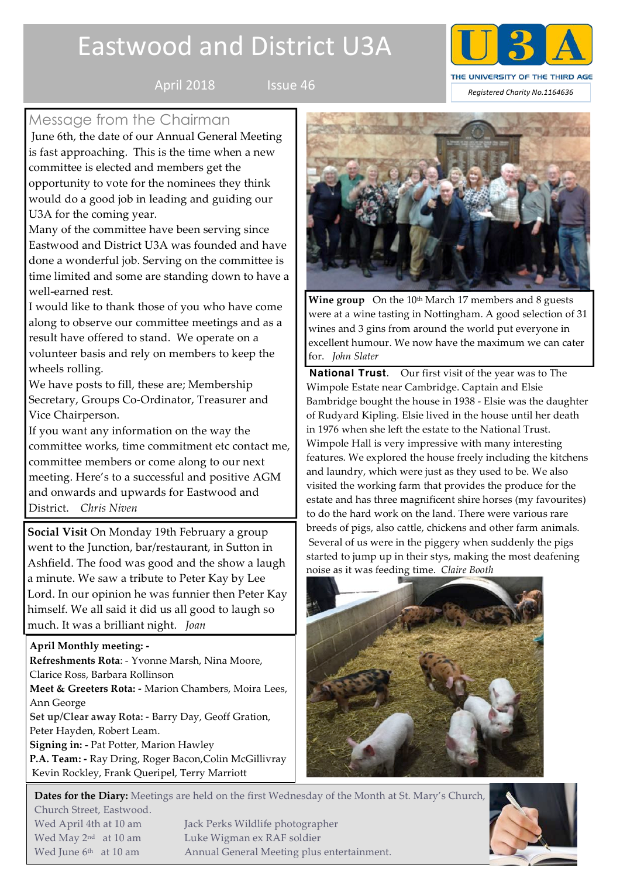# Eastwood and District U3A





# Message from the Chairman

June 6th, the date of our Annual General Meeting is fast approaching. This is the time when a new committee is elected and members get the opportunity to vote for the nominees they think would do a good job in leading and guiding our U3A for the coming year.

Many of the committee have been serving since Eastwood and District U3A was founded and have done a wonderful job. Serving on the committee is time limited and some are standing down to have a well-earned rest.

I would like to thank those of you who have come along to observe our committee meetings and as a result have offered to stand. We operate on a volunteer basis and rely on members to keep the wheels rolling.

We have posts to fill, these are; Membership Secretary, Groups Co-Ordinator, Treasurer and Vice Chairperson.

If you want any information on the way the committee works, time commitment etc contact me, committee members or come along to our next meeting. Here's to a successful and positive AGM and onwards and upwards for Eastwood and District. *Chris Niven*

**Social Visit** On Monday 19th February a group went to the Junction, bar/restaurant, in Sutton in Ashfield. The food was good and the show a laugh a minute. We saw a tribute to Peter Kay by Lee Lord. In our opinion he was funnier then Peter Kay himself. We all said it did us all good to laugh so much. It was a brilliant night. *Joan*

## **April Monthly meeting: -**

**Refreshments Rota**: - Yvonne Marsh, Nina Moore, Clarice Ross, Barbara Rollinson

**Meet & Greeters Rota: -** Marion Chambers, Moira Lees, Ann George

**Set up/Clear away Rota: -** Barry Day, Geoff Gration, Peter Hayden, Robert Leam.

**Signing in: -** Pat Potter, Marion Hawley

**P.A. Team: -** Ray Dring, Roger Bacon,Colin McGillivray Kevin Rockley, Frank Queripel, Terry Marriott



Wine group On the 10<sup>th</sup> March 17 members and 8 guests were at a wine tasting in Nottingham. A good selection of 31 wines and 3 gins from around the world put everyone in excellent humour. We now have the maximum we can cater for. *John Slater*

**National Trust**. Our first visit of the year was to The Wimpole Estate near Cambridge. Captain and Elsie Bambridge bought the house in 1938 - Elsie was the daughter of Rudyard Kipling. Elsie lived in the house until her death in 1976 when she left the estate to the National Trust. Wimpole Hall is very impressive with many interesting features. We explored the house freely including the kitchens and laundry, which were just as they used to be. We also visited the working farm that provides the produce for the estate and has three magnificent shire horses (my favourites) to do the hard work on the land. There were various rare breeds of pigs, also cattle, chickens and other farm animals. Several of us were in the piggery when suddenly the pigs started to jump up in their stys, making the most deafening noise as it was feeding time. *Claire Booth* 



**Dates for the Diary:** Meetings are held on the first Wednesday of the Month at St. Mary's Church, Church Street, Eastwood. Wed April 4th at 10 am Jack Perks Wildlife photographer

Wed May 2<sup>nd</sup> at 10 am Luke Wigman ex RAF soldier Wed June 6<sup>th</sup> at 10 am Annual General Meeting plus entertainment.